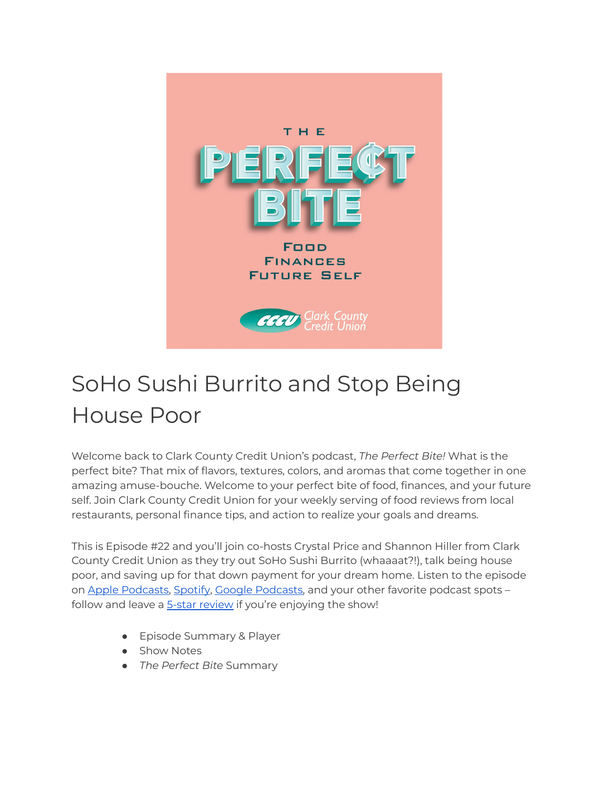

# SoHo Sushi Burrito and Stop Being House Poor

Welcome back to Clark County Credit Union's podcast, *The Perfect Bite!* What is the perfect bite? That mix of flavors, textures, colors, and aromas that come together in one amazing amuse-bouche. Welcome to your perfect bite of food, finances, and your future self. Join Clark County Credit Union for your weekly serving of food reviews from local restaurants, personal finance tips, and action to realize your goals and dreams.

This is Episode #22 and you'll join co-hosts Crystal Price and Shannon Hiller from Clark County Credit Union as they try out SoHo Sushi Burrito (whaaaat?!), talk being house poor, and saving up for that down payment for your dream home. Listen to the episode on Apple [Podcasts,](https://podcasts.google.com/feed/aHR0cHM6Ly9wZXJmZWN0Yml0ZS5saWJzeW4uY29tL3Jzcw?sa=X&ved=0CAMQ4aUDahcKEwi47ZHlgPP1AhUAAAAAHQAAAAAQRA) [Spotify](https://open.spotify.com/show/7tNPJZBNHabGWEFmjnHaxR?si=a0a7808911264628), Google Podcasts, and your other favorite podcast spots follow and leave a 5-star [review](https://podcasts.apple.com/us/podcast/the-perfect-bite/id1604656448) if you're enjoying the show!

- Episode Summary & Player
- Show Notes
- *The Perfect Bite* Summary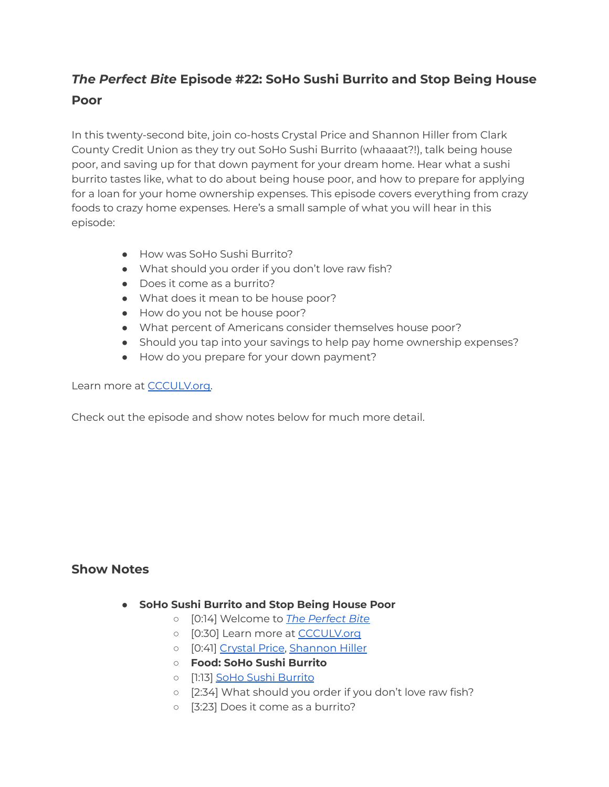# *The Perfect Bite* **Episode #22: SoHo Sushi Burrito and Stop Being House Poor**

In this twenty-second bite, join co-hosts Crystal Price and Shannon Hiller from Clark County Credit Union as they try out SoHo Sushi Burrito (whaaaat?!), talk being house poor, and saving up for that down payment for your dream home. Hear what a sushi burrito tastes like, what to do about being house poor, and how to prepare for applying for a loan for your home ownership expenses. This episode covers everything from crazy foods to crazy home expenses. Here's a small sample of what you will hear in this episode:

- How was SoHo Sushi Burrito?
- What should you order if you don't love raw fish?
- Does it come as a burrito?
- What does it mean to be house poor?
- How do you not be house poor?
- What percent of Americans consider themselves house poor?
- Should you tap into your savings to help pay home ownership expenses?
- How do you prepare for your down payment?

#### Learn more at [CCCULV.org.](https://www.ccculv.org/)

Check out the episode and show notes below for much more detail.

## **Show Notes**

- **SoHo Sushi Burrito and Stop Being House Poor**
	- [0:14] Welcome to *[The Perfect Bite](https://www.ccculv.org/)*
	- o [0:30] Learn more at [CCCULV.org](https://www.ccculv.org/)
	- [0:41] [Crystal Price](https://www.ccculv.org/Our-Mission.aspx), [Shannon Hiller](https://www.ccculv.org/Our-Mission.aspx)
	- **○ Food: SoHo Sushi Burrito**
	- [1:13] [SoHo Sushi Burrito](http://sohosushiburrito.com/)
	- [2:34] What should you order if you don't love raw fish?
	- [3:23] Does it come as a burrito?